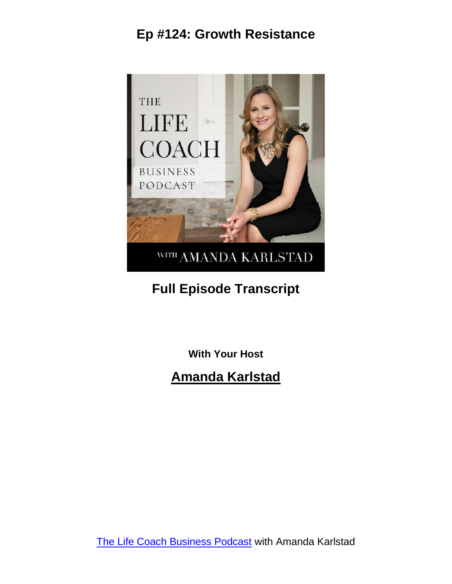

# **Full Episode Transcript**

**With Your Host**

#### **Amanda Karlstad**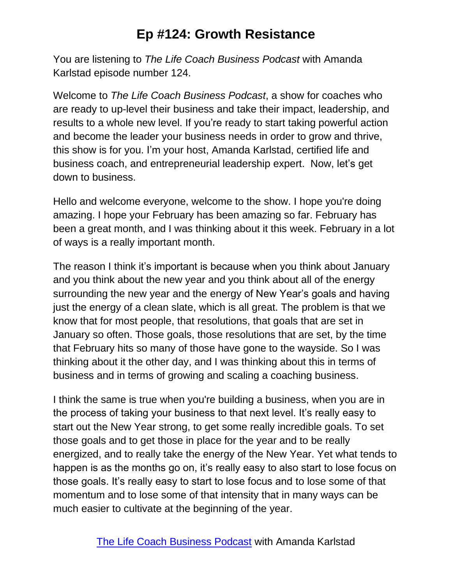You are listening to *The Life Coach Business Podcast* with Amanda Karlstad episode number 124.

Welcome to *The Life Coach Business Podcast*, a show for coaches who are ready to up-level their business and take their impact, leadership, and results to a whole new level. If you're ready to start taking powerful action and become the leader your business needs in order to grow and thrive, this show is for you. I'm your host, Amanda Karlstad, certified life and business coach, and entrepreneurial leadership expert. Now, let's get down to business.

Hello and welcome everyone, welcome to the show. I hope you're doing amazing. I hope your February has been amazing so far. February has been a great month, and I was thinking about it this week. February in a lot of ways is a really important month.

The reason I think it's important is because when you think about January and you think about the new year and you think about all of the energy surrounding the new year and the energy of New Year's goals and having just the energy of a clean slate, which is all great. The problem is that we know that for most people, that resolutions, that goals that are set in January so often. Those goals, those resolutions that are set, by the time that February hits so many of those have gone to the wayside. So I was thinking about it the other day, and I was thinking about this in terms of business and in terms of growing and scaling a coaching business.

I think the same is true when you're building a business, when you are in the process of taking your business to that next level. It's really easy to start out the New Year strong, to get some really incredible goals. To set those goals and to get those in place for the year and to be really energized, and to really take the energy of the New Year. Yet what tends to happen is as the months go on, it's really easy to also start to lose focus on those goals. It's really easy to start to lose focus and to lose some of that momentum and to lose some of that intensity that in many ways can be much easier to cultivate at the beginning of the year.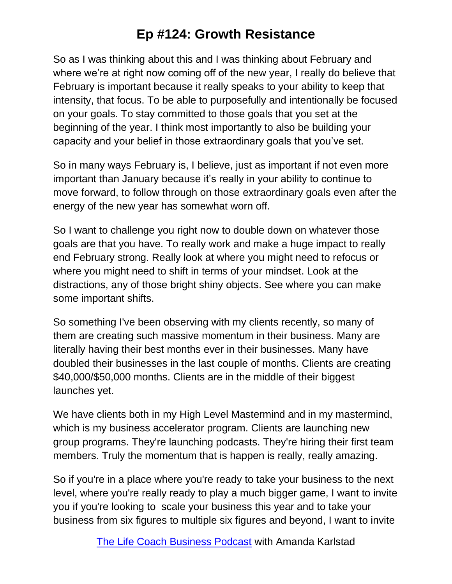So as I was thinking about this and I was thinking about February and where we're at right now coming off of the new year, I really do believe that February is important because it really speaks to your ability to keep that intensity, that focus. To be able to purposefully and intentionally be focused on your goals. To stay committed to those goals that you set at the beginning of the year. I think most importantly to also be building your capacity and your belief in those extraordinary goals that you've set.

So in many ways February is, I believe, just as important if not even more important than January because it's really in your ability to continue to move forward, to follow through on those extraordinary goals even after the energy of the new year has somewhat worn off.

So I want to challenge you right now to double down on whatever those goals are that you have. To really work and make a huge impact to really end February strong. Really look at where you might need to refocus or where you might need to shift in terms of your mindset. Look at the distractions, any of those bright shiny objects. See where you can make some important shifts.

So something I've been observing with my clients recently, so many of them are creating such massive momentum in their business. Many are literally having their best months ever in their businesses. Many have doubled their businesses in the last couple of months. Clients are creating \$40,000/\$50,000 months. Clients are in the middle of their biggest launches yet.

We have clients both in my High Level Mastermind and in my mastermind, which is my business accelerator program. Clients are launching new group programs. They're launching podcasts. They're hiring their first team members. Truly the momentum that is happen is really, really amazing.

So if you're in a place where you're ready to take your business to the next level, where you're really ready to play a much bigger game, I want to invite you if you're looking to scale your business this year and to take your business from six figures to multiple six figures and beyond, I want to invite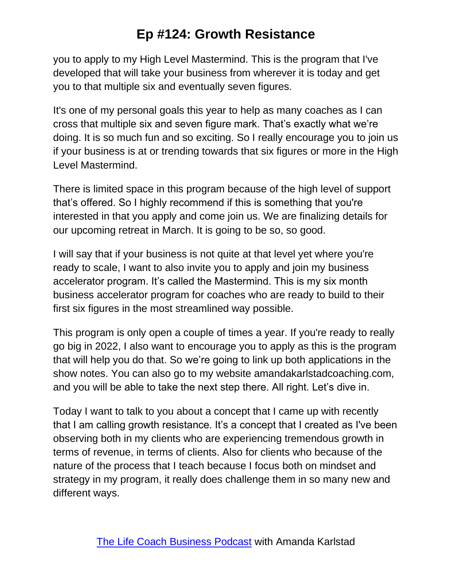you to apply to my High Level Mastermind. This is the program that I've developed that will take your business from wherever it is today and get you to that multiple six and eventually seven figures.

It's one of my personal goals this year to help as many coaches as I can cross that multiple six and seven figure mark. That's exactly what we're doing. It is so much fun and so exciting. So I really encourage you to join us if your business is at or trending towards that six figures or more in the High Level Mastermind.

There is limited space in this program because of the high level of support that's offered. So I highly recommend if this is something that you're interested in that you apply and come join us. We are finalizing details for our upcoming retreat in March. It is going to be so, so good.

I will say that if your business is not quite at that level yet where you're ready to scale, I want to also invite you to apply and join my business accelerator program. It's called the Mastermind. This is my six month business accelerator program for coaches who are ready to build to their first six figures in the most streamlined way possible.

This program is only open a couple of times a year. If you're ready to really go big in 2022, I also want to encourage you to apply as this is the program that will help you do that. So we're going to link up both applications in the show notes. You can also go to my website amandakarlstadcoaching.com, and you will be able to take the next step there. All right. Let's dive in.

Today I want to talk to you about a concept that I came up with recently that I am calling growth resistance. It's a concept that I created as I've been observing both in my clients who are experiencing tremendous growth in terms of revenue, in terms of clients. Also for clients who because of the nature of the process that I teach because I focus both on mindset and strategy in my program, it really does challenge them in so many new and different ways.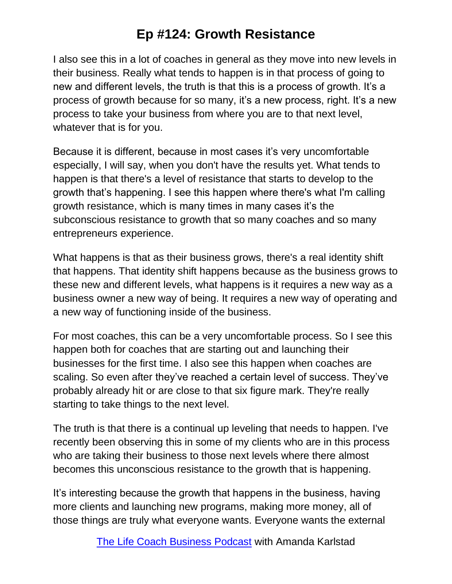I also see this in a lot of coaches in general as they move into new levels in their business. Really what tends to happen is in that process of going to new and different levels, the truth is that this is a process of growth. It's a process of growth because for so many, it's a new process, right. It's a new process to take your business from where you are to that next level, whatever that is for you.

Because it is different, because in most cases it's very uncomfortable especially, I will say, when you don't have the results yet. What tends to happen is that there's a level of resistance that starts to develop to the growth that's happening. I see this happen where there's what I'm calling growth resistance, which is many times in many cases it's the subconscious resistance to growth that so many coaches and so many entrepreneurs experience.

What happens is that as their business grows, there's a real identity shift that happens. That identity shift happens because as the business grows to these new and different levels, what happens is it requires a new way as a business owner a new way of being. It requires a new way of operating and a new way of functioning inside of the business.

For most coaches, this can be a very uncomfortable process. So I see this happen both for coaches that are starting out and launching their businesses for the first time. I also see this happen when coaches are scaling. So even after they've reached a certain level of success. They've probably already hit or are close to that six figure mark. They're really starting to take things to the next level.

The truth is that there is a continual up leveling that needs to happen. I've recently been observing this in some of my clients who are in this process who are taking their business to those next levels where there almost becomes this unconscious resistance to the growth that is happening.

It's interesting because the growth that happens in the business, having more clients and launching new programs, making more money, all of those things are truly what everyone wants. Everyone wants the external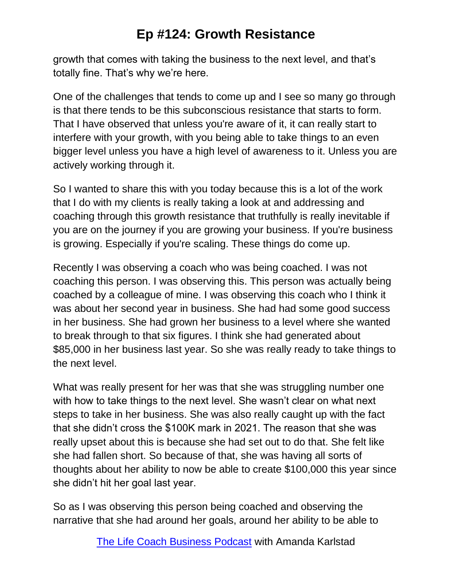growth that comes with taking the business to the next level, and that's totally fine. That's why we're here.

One of the challenges that tends to come up and I see so many go through is that there tends to be this subconscious resistance that starts to form. That I have observed that unless you're aware of it, it can really start to interfere with your growth, with you being able to take things to an even bigger level unless you have a high level of awareness to it. Unless you are actively working through it.

So I wanted to share this with you today because this is a lot of the work that I do with my clients is really taking a look at and addressing and coaching through this growth resistance that truthfully is really inevitable if you are on the journey if you are growing your business. If you're business is growing. Especially if you're scaling. These things do come up.

Recently I was observing a coach who was being coached. I was not coaching this person. I was observing this. This person was actually being coached by a colleague of mine. I was observing this coach who I think it was about her second year in business. She had had some good success in her business. She had grown her business to a level where she wanted to break through to that six figures. I think she had generated about \$85,000 in her business last year. So she was really ready to take things to the next level.

What was really present for her was that she was struggling number one with how to take things to the next level. She wasn't clear on what next steps to take in her business. She was also really caught up with the fact that she didn't cross the \$100K mark in 2021. The reason that she was really upset about this is because she had set out to do that. She felt like she had fallen short. So because of that, she was having all sorts of thoughts about her ability to now be able to create \$100,000 this year since she didn't hit her goal last year.

So as I was observing this person being coached and observing the narrative that she had around her goals, around her ability to be able to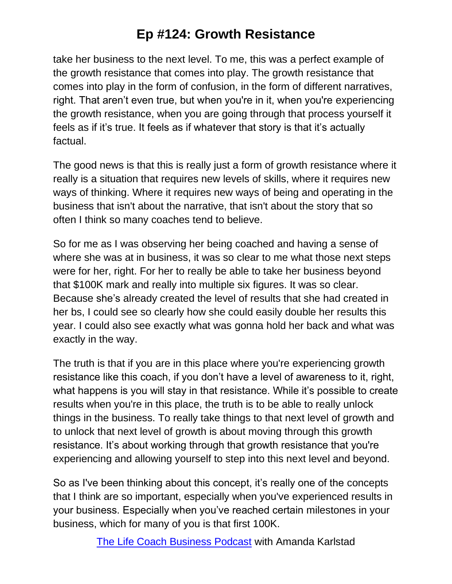take her business to the next level. To me, this was a perfect example of the growth resistance that comes into play. The growth resistance that comes into play in the form of confusion, in the form of different narratives, right. That aren't even true, but when you're in it, when you're experiencing the growth resistance, when you are going through that process yourself it feels as if it's true. It feels as if whatever that story is that it's actually factual.

The good news is that this is really just a form of growth resistance where it really is a situation that requires new levels of skills, where it requires new ways of thinking. Where it requires new ways of being and operating in the business that isn't about the narrative, that isn't about the story that so often I think so many coaches tend to believe.

So for me as I was observing her being coached and having a sense of where she was at in business, it was so clear to me what those next steps were for her, right. For her to really be able to take her business beyond that \$100K mark and really into multiple six figures. It was so clear. Because she's already created the level of results that she had created in her bs, I could see so clearly how she could easily double her results this year. I could also see exactly what was gonna hold her back and what was exactly in the way.

The truth is that if you are in this place where you're experiencing growth resistance like this coach, if you don't have a level of awareness to it, right, what happens is you will stay in that resistance. While it's possible to create results when you're in this place, the truth is to be able to really unlock things in the business. To really take things to that next level of growth and to unlock that next level of growth is about moving through this growth resistance. It's about working through that growth resistance that you're experiencing and allowing yourself to step into this next level and beyond.

So as I've been thinking about this concept, it's really one of the concepts that I think are so important, especially when you've experienced results in your business. Especially when you've reached certain milestones in your business, which for many of you is that first 100K.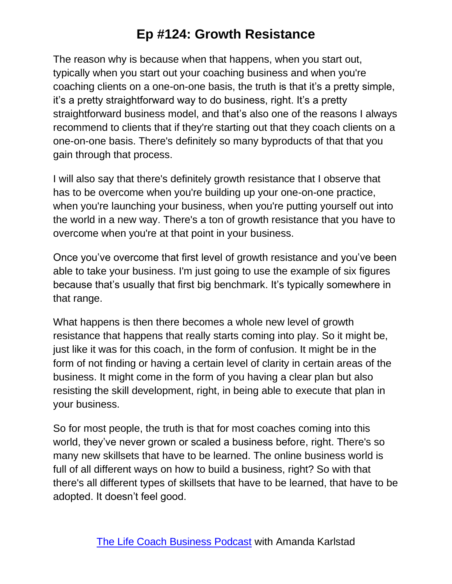The reason why is because when that happens, when you start out, typically when you start out your coaching business and when you're coaching clients on a one-on-one basis, the truth is that it's a pretty simple, it's a pretty straightforward way to do business, right. It's a pretty straightforward business model, and that's also one of the reasons I always recommend to clients that if they're starting out that they coach clients on a one-on-one basis. There's definitely so many byproducts of that that you gain through that process.

I will also say that there's definitely growth resistance that I observe that has to be overcome when you're building up your one-on-one practice, when you're launching your business, when you're putting yourself out into the world in a new way. There's a ton of growth resistance that you have to overcome when you're at that point in your business.

Once you've overcome that first level of growth resistance and you've been able to take your business. I'm just going to use the example of six figures because that's usually that first big benchmark. It's typically somewhere in that range.

What happens is then there becomes a whole new level of growth resistance that happens that really starts coming into play. So it might be, just like it was for this coach, in the form of confusion. It might be in the form of not finding or having a certain level of clarity in certain areas of the business. It might come in the form of you having a clear plan but also resisting the skill development, right, in being able to execute that plan in your business.

So for most people, the truth is that for most coaches coming into this world, they've never grown or scaled a business before, right. There's so many new skillsets that have to be learned. The online business world is full of all different ways on how to build a business, right? So with that there's all different types of skillsets that have to be learned, that have to be adopted. It doesn't feel good.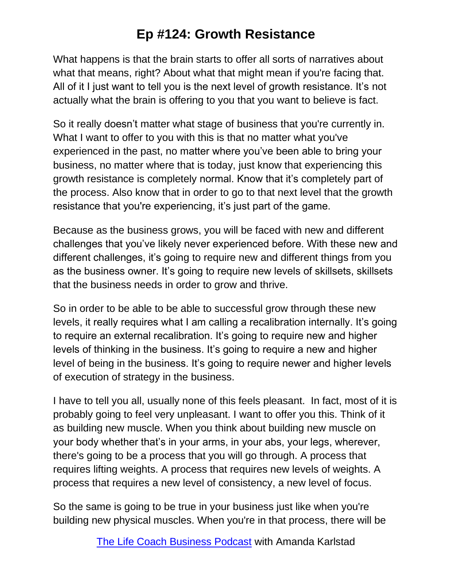What happens is that the brain starts to offer all sorts of narratives about what that means, right? About what that might mean if you're facing that. All of it I just want to tell you is the next level of growth resistance. It's not actually what the brain is offering to you that you want to believe is fact.

So it really doesn't matter what stage of business that you're currently in. What I want to offer to you with this is that no matter what you've experienced in the past, no matter where you've been able to bring your business, no matter where that is today, just know that experiencing this growth resistance is completely normal. Know that it's completely part of the process. Also know that in order to go to that next level that the growth resistance that you're experiencing, it's just part of the game.

Because as the business grows, you will be faced with new and different challenges that you've likely never experienced before. With these new and different challenges, it's going to require new and different things from you as the business owner. It's going to require new levels of skillsets, skillsets that the business needs in order to grow and thrive.

So in order to be able to be able to successful grow through these new levels, it really requires what I am calling a recalibration internally. It's going to require an external recalibration. It's going to require new and higher levels of thinking in the business. It's going to require a new and higher level of being in the business. It's going to require newer and higher levels of execution of strategy in the business.

I have to tell you all, usually none of this feels pleasant. In fact, most of it is probably going to feel very unpleasant. I want to offer you this. Think of it as building new muscle. When you think about building new muscle on your body whether that's in your arms, in your abs, your legs, wherever, there's going to be a process that you will go through. A process that requires lifting weights. A process that requires new levels of weights. A process that requires a new level of consistency, a new level of focus.

So the same is going to be true in your business just like when you're building new physical muscles. When you're in that process, there will be